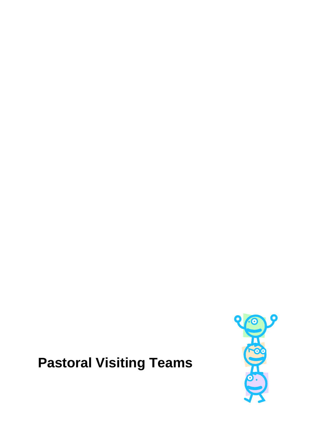# **Pastoral Visiting Teams**

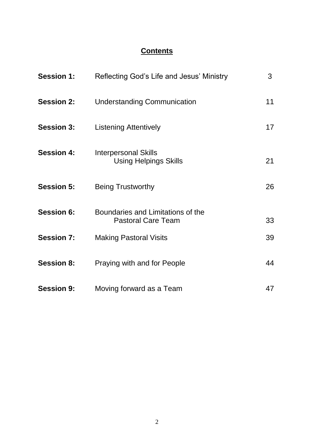# **Contents**

| <b>Session 1:</b> | Reflecting God's Life and Jesus' Ministry                      | 3  |
|-------------------|----------------------------------------------------------------|----|
| <b>Session 2:</b> | <b>Understanding Communication</b>                             | 11 |
| <b>Session 3:</b> | <b>Listening Attentively</b>                                   | 17 |
| <b>Session 4:</b> | <b>Interpersonal Skills</b><br><b>Using Helpings Skills</b>    | 21 |
| <b>Session 5:</b> | <b>Being Trustworthy</b>                                       | 26 |
| <b>Session 6:</b> | Boundaries and Limitations of the<br><b>Pastoral Care Team</b> | 33 |
| <b>Session 7:</b> | <b>Making Pastoral Visits</b>                                  | 39 |
| <b>Session 8:</b> | Praying with and for People                                    | 44 |
| <b>Session 9:</b> | Moving forward as a Team                                       | 47 |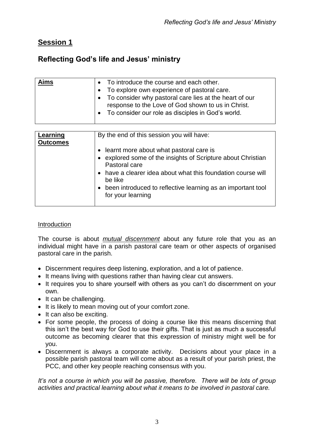# **Session 1**

# **Reflecting God's life and Jesus' ministry**

| Aims | To introduce the course and each other.<br>$\bullet$<br>To explore own experience of pastoral care.<br>$\bullet$<br>• To consider why pastoral care lies at the heart of our<br>response to the Love of God shown to us in Christ.<br>• To consider our role as disciples in God's world. |
|------|-------------------------------------------------------------------------------------------------------------------------------------------------------------------------------------------------------------------------------------------------------------------------------------------|
|      |                                                                                                                                                                                                                                                                                           |

| Learning<br><b>Outcomes</b> | By the end of this session you will have:                                                                                                                                                                                                                                                   |
|-----------------------------|---------------------------------------------------------------------------------------------------------------------------------------------------------------------------------------------------------------------------------------------------------------------------------------------|
|                             | • learnt more about what pastoral care is<br>• explored some of the insights of Scripture about Christian<br>Pastoral care<br>• have a clearer idea about what this foundation course will<br>be like<br>• been introduced to reflective learning as an important tool<br>for your learning |

#### Introduction

The course is about *mutual discernment* about any future role that you as an individual might have in a parish pastoral care team or other aspects of organised pastoral care in the parish.

- Discernment requires deep listening, exploration, and a lot of patience.
- It means living with questions rather than having clear cut answers.
- It requires you to share yourself with others as you can't do discernment on your own.
- $\bullet$  It can be challenging.
- It is likely to mean moving out of your comfort zone.
- It can also be exciting.
- For some people, the process of doing a course like this means discerning that this isn't the best way for God to use their gifts. That is just as much a successful outcome as becoming clearer that this expression of ministry might well be for you.
- Discernment is always a corporate activity. Decisions about your place in a possible parish pastoral team will come about as a result of your parish priest, the PCC, and other key people reaching consensus with you.

*It's not a course in which you will be passive, therefore. There will be lots of group activities and practical learning about what it means to be involved in pastoral care.*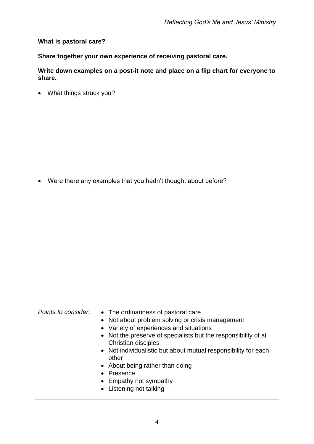#### **What is pastoral care?**

**Share together your own experience of receiving pastoral care.**

**Write down examples on a post-it note and place on a flip chart for everyone to share.**

What things struck you?

Were there any examples that you hadn't thought about before?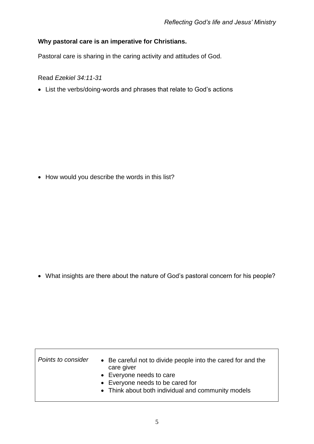## **Why pastoral care is an imperative for Christians.**

Pastoral care is sharing in the caring activity and attitudes of God.

Read *Ezekiel 34:11-31*

List the verbs/doing-words and phrases that relate to God's actions

• How would you describe the words in this list?

What insights are there about the nature of God's pastoral concern for his people?

| Points to consider | • Be careful not to divide people into the cared for and the<br>care giver<br>• Everyone needs to care |
|--------------------|--------------------------------------------------------------------------------------------------------|
|                    | • Everyone needs to be cared for<br>• Think about both individual and community models                 |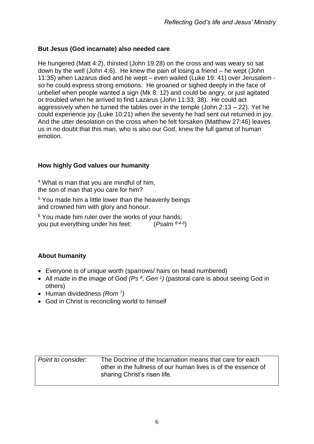#### **But Jesus (God incarnate) also needed care**

He hungered (Matt 4:2), thirsted (John 19:28) on the cross and was weary so sat down by the well (John 4:6). He knew the pain of losing a friend – he wept (John 11:35) when Lazarus died and he wept – even wailed (Luke 19: 41) over Jerusalem so he could express strong emotions. He groaned or sighed deeply in the face of unbelief when people wanted a sign (Mk 8: 12) and could be angry, or just agitated or troubled when he arrived to find Lazarus (John 11:33, 38). He could act aggressively when he turned the tables over in the temple (John 2:13 – 22). Yet he could experience joy (Luke 10:21) when the seventy he had sent out returned in joy. And the utter desolation on the cross when he felt forsaken (Matthew 27:46) leaves us in no doubt that this man, who is also our God, knew the full gamut of human emotion.

#### **How highly God values our humanity**

<sup>4</sup> What is man that you are mindful of him, the son of man that you care for him?

<sup>5</sup> You made him a little lower than the heavenly beings and crowned him with glory and honour.

<sup>6</sup> You made him ruler over the works of your hands: you put everything under his feet: (*Psalm 8:4-6*  $(Psalm^{8.4-6})$ 

## **About humanity**

- Everyone is of unique worth (sparrows/ hairs on head numbered)
- All made in the image of God (Ps <sup>8</sup>, Gen <sup>1</sup>) (pastoral care is about seeing God in others)
- Human dividedness *(Rom* <sup>7</sup>)
- God in Christ is reconciling world to himself

| Point to consider. | The Doctrine of the Incarnation means that care for each      |
|--------------------|---------------------------------------------------------------|
|                    | other in the fullness of our human lives is of the essence of |
|                    | sharing Christ's risen life.                                  |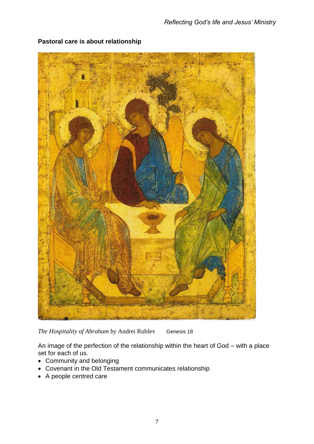

# **Pastoral care is about relationship**

*The Hospitality of Abraham by* Andrei Rublev Genesis 18

An image of the perfection of the relationship within the heart of God – with a place set for each of us.

- Community and belonging
- Covenant in the Old Testament communicates relationship
- A people centred care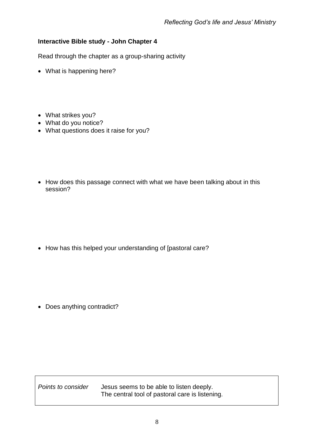### **Interactive Bible study - John Chapter 4**

Read through the chapter as a group-sharing activity

- What is happening here?
- What strikes you?
- What do you notice?
- What questions does it raise for you?
- How does this passage connect with what we have been talking about in this session?

• How has this helped your understanding of [pastoral care?

• Does anything contradict?

*Points to consider* Jesus seems to be able to listen deeply. The central tool of pastoral care is listening.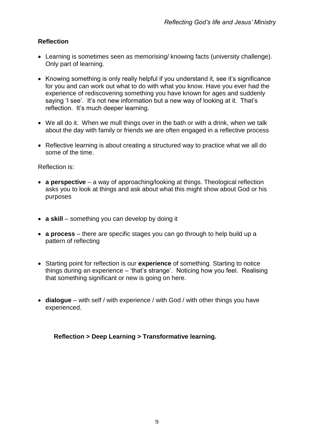## **Reflection**

- Learning is sometimes seen as memorising/ knowing facts (university challenge). Only part of learning.
- Knowing something is only really helpful if you understand it, see it's significance for you and can work out what to do with what you know. Have you ever had the experience of rediscovering something you have known for ages and suddenly saying 'I see'. It's not new information but a new way of looking at it. That's reflection. It's much deeper learning.
- We all do it. When we mull things over in the bath or with a drink, when we talk about the day with family or friends we are often engaged in a reflective process
- Reflective learning is about creating a structured way to practice what we all do some of the time.

Reflection is:

- **a perspective** a way of approaching/looking at things. Theological reflection asks you to look at things and ask about what this might show about God or his purposes
- **a skill** something you can develop by doing it
- **a process**  there are specific stages you can go through to help build up a pattern of reflecting
- Starting point for reflection is our **experience** of something. Starting to notice things during an experience – 'that's strange'. Noticing how you feel. Realising that something significant or new is going on here.
- **dialogue** with self / with experience / with God / with other things you have experienced.

**Reflection > Deep Learning > Transformative learning.**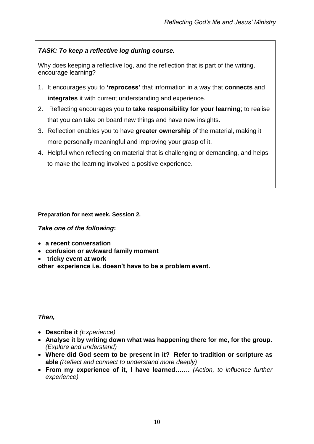# *TASK: To keep a reflective log during course.*

Why does keeping a reflective log, and the reflection that is part of the writing, encourage learning?

- 1. It encourages you to **'reprocess'** that information in a way that **connects** and **integrates** it with current understanding and experience.
- 2. Reflecting encourages you to **take responsibility for your learning**; to realise that you can take on board new things and have new insights.
- 3. Reflection enables you to have **greater ownership** of the material, making it more personally meaningful and improving your grasp of it.
- 4. Helpful when reflecting on material that is challenging or demanding, and helps to make the learning involved a positive experience.

#### **Preparation for next week. Session 2.**

#### *Take one of the following***:**

- **a recent conversation**
- **confusion or awkward family moment**
- **tricky event at work**

**other experience i.e. doesn't have to be a problem event.**

#### *Then,*

- **Describe it** *(Experience)*
- **Analyse it by writing down what was happening there for me, for the group.**  *(Explore and understand)*
- **Where did God seem to be present in it? Refer to tradition or scripture as able** *(Reflect and connect to understand more deeply)*
- **From my experience of it, I have learned…….** *(Action, to influence further experience)*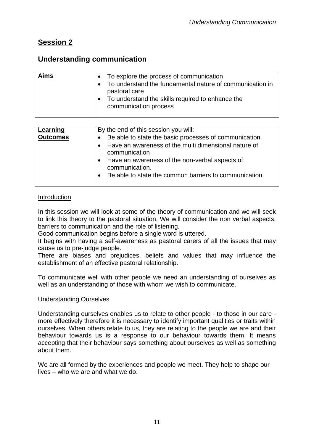# **Session 2**

# **Understanding communication**

| <b>Aims</b> | To explore the process of communication<br>To understand the fundamental nature of communication in<br>pastoral care |
|-------------|----------------------------------------------------------------------------------------------------------------------|
|             | To understand the skills required to enhance the<br>communication process                                            |

| Learning<br><b>Outcomes</b> | By the end of this session you will:<br>• Be able to state the basic processes of communication.<br>Have an awareness of the multi dimensional nature of<br>communication<br>• Have an awareness of the non-verbal aspects of<br>communication.<br>Be able to state the common barriers to communication.<br>$\bullet$ |
|-----------------------------|------------------------------------------------------------------------------------------------------------------------------------------------------------------------------------------------------------------------------------------------------------------------------------------------------------------------|
|                             |                                                                                                                                                                                                                                                                                                                        |

#### Introduction

In this session we will look at some of the theory of communication and we will seek to link this theory to the pastoral situation. We will consider the non verbal aspects, barriers to communication and the role of listening.

Good communication begins before a single word is uttered.

It begins with having a self-awareness as pastoral carers of all the issues that may cause us to pre-judge people.

There are biases and prejudices, beliefs and values that may influence the establishment of an effective pastoral relationship.

To communicate well with other people we need an understanding of ourselves as well as an understanding of those with whom we wish to communicate.

#### Understanding Ourselves

Understanding ourselves enables us to relate to other people - to those in our care more effectively therefore it is necessary to identify important qualities or traits within ourselves. When others relate to us, they are relating to the people we are and their behaviour towards us is a response to our behaviour towards them. It means accepting that their behaviour says something about ourselves as well as something about them.

We are all formed by the experiences and people we meet. They help to shape our lives – who we are and what we do.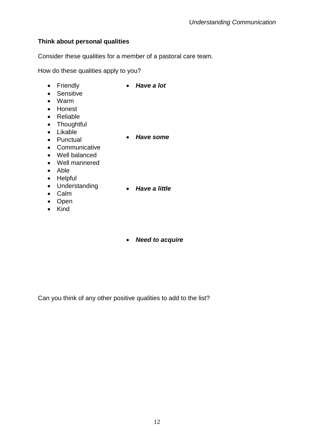## **Think about personal qualities**

Consider these qualities for a member of a pastoral care team.

How do these qualities apply to you?

- Friendly
- *Have a lot*
- Sensitive
- Warm
- Honest
- Reliable
- Thoughtful
- Likable • Punctual
- *Have some*
- Communicative
- Well balanced
- Well mannered
- Able
- Helpful
- Understanding
- *Have a little*
- Calm • Open
- Kind

*Need to acquire*

Can you think of any other positive qualities to add to the list?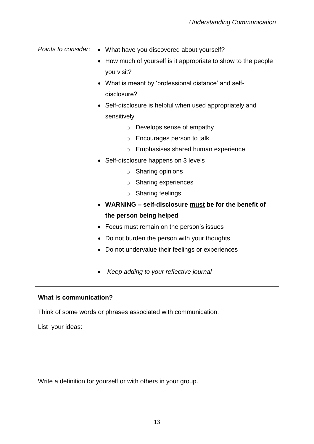| Points to consider. | • What have you discovered about yourself?                   |
|---------------------|--------------------------------------------------------------|
|                     | How much of yourself is it appropriate to show to the people |
|                     | you visit?                                                   |
|                     | What is meant by 'professional distance' and self-           |
|                     | disclosure?'                                                 |
|                     | Self-disclosure is helpful when used appropriately and       |
|                     | sensitively                                                  |
|                     | Develops sense of empathy<br>$\circ$                         |
|                     | Encourages person to talk<br>$\circ$                         |
|                     | Emphasises shared human experience<br>$\circ$                |
|                     | Self-disclosure happens on 3 levels                          |
|                     | Sharing opinions<br>$\circ$                                  |
|                     | Sharing experiences<br>O                                     |
|                     | <b>Sharing feelings</b><br>$\circ$                           |
|                     | WARNING - self-disclosure must be for the benefit of         |
|                     | the person being helped                                      |
|                     | Focus must remain on the person's issues<br>٠                |
|                     | Do not burden the person with your thoughts                  |
|                     | Do not undervalue their feelings or experiences              |
|                     |                                                              |
|                     | Keep adding to your reflective journal                       |
|                     |                                                              |

# **What is communication?**

Think of some words or phrases associated with communication.

List your ideas:

 $\mathbf{r}$ 

Write a definition for yourself or with others in your group.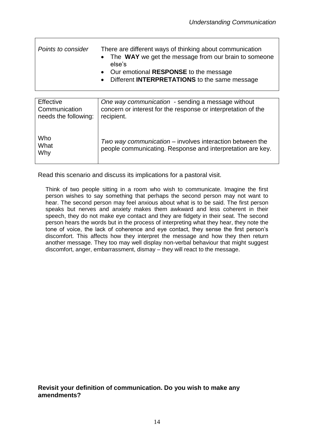| Points to consider | There are different ways of thinking about communication<br>• The WAY we get the message from our brain to someone<br>else's |
|--------------------|------------------------------------------------------------------------------------------------------------------------------|
|                    | • Our emotional RESPONSE to the message                                                                                      |
|                    | • Different INTERPRETATIONS to the same message                                                                              |

| Effective            | One way communication - sending a message without             |
|----------------------|---------------------------------------------------------------|
| Communication        | concern or interest for the response or interpretation of the |
| needs the following: | recipient.                                                    |
|                      |                                                               |
|                      |                                                               |
|                      |                                                               |
| Who                  | Two way communication – involves interaction between the      |
| What                 |                                                               |
| Why                  | people communicating. Response and interpretation are key.    |
|                      |                                                               |
|                      |                                                               |

Read this scenario and discuss its implications for a pastoral visit.

Think of two people sitting in a room who wish to communicate. Imagine the first person wishes to say something that perhaps the second person may not want to hear. The second person may feel anxious about what is to be said. The first person speaks but nerves and anxiety makes them awkward and less coherent in their speech, they do not make eye contact and they are fidgety in their seat. The second person hears the words but in the process of interpreting what they hear, they note the tone of voice, the lack of coherence and eye contact, they sense the first person's discomfort. This affects how they interpret the message and how they then return another message. They too may well display non-verbal behaviour that might suggest discomfort, anger, embarrassment, dismay – they will react to the message.

**Revisit your definition of communication. Do you wish to make any amendments?**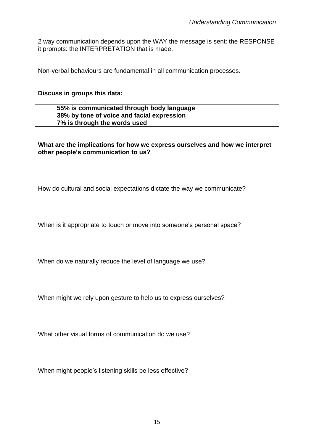2 way communication depends upon the WAY the message is sent: the RESPONSE it prompts: the INTERPRETATION that is made.

Non-verbal behaviours are fundamental in all communication processes.

#### **Discuss in groups this data:**

#### **55% is communicated through body language 38% by tone of voice and facial expression 7% is through the words used**

#### **What are the implications for how we express ourselves and how we interpret other people's communication to us?**

How do cultural and social expectations dictate the way we communicate?

When is it appropriate to touch or move into someone's personal space?

When do we naturally reduce the level of language we use?

When might we rely upon gesture to help us to express ourselves?

What other visual forms of communication do we use?

When might people's listening skills be less effective?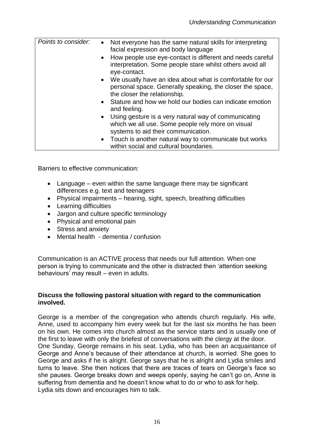| Points to consider. | Not everyone has the same natural skills for interpreting<br>$\bullet$<br>facial expression and body language<br>• How people use eye-contact is different and needs careful<br>interpretation. Some people stare whilst others avoid all<br>eye-contact.<br>• We usually have an idea about what is comfortable for our<br>personal space. Generally speaking, the closer the space,<br>the closer the relationship.<br>• Stature and how we hold our bodies can indicate emotion |
|---------------------|------------------------------------------------------------------------------------------------------------------------------------------------------------------------------------------------------------------------------------------------------------------------------------------------------------------------------------------------------------------------------------------------------------------------------------------------------------------------------------|
|                     |                                                                                                                                                                                                                                                                                                                                                                                                                                                                                    |
|                     | and feeling.                                                                                                                                                                                                                                                                                                                                                                                                                                                                       |
|                     | • Using gesture is a very natural way of communicating<br>which we all use. Some people rely more on visual<br>systems to aid their communication.                                                                                                                                                                                                                                                                                                                                 |
|                     | • Touch is another natural way to communicate but works<br>within social and cultural boundaries.                                                                                                                                                                                                                                                                                                                                                                                  |

Barriers to effective communication:

- Language even within the same language there may be significant differences e.g. text and teenagers
- Physical impairments hearing, sight, speech, breathing difficulties
- Learning difficulties
- Jargon and culture specific terminology
- Physical and emotional pain
- Stress and anxiety
- Mental health dementia / confusion

Communication is an ACTIVE process that needs our full attention. When one person is trying to communicate and the other is distracted then 'attention seeking behaviours' may result – even in adults.

#### **Discuss the following pastoral situation with regard to the communication involved.**

George is a member of the congregation who attends church regularly. His wife, Anne, used to accompany him every week but for the last six months he has been on his own. He comes into church almost as the service starts and is usually one of the first to leave with only the briefest of conversations with the clergy at the door. One Sunday, George remains in his seat. Lydia, who has been an acquaintance of George and Anne's because of their attendance at church, is worried. She goes to George and asks if he is alright. George says that he is alright and Lydia smiles and turns to leave. She then notices that there are traces of tears on George's face so she pauses. George breaks down and weeps openly, saying he can't go on, Anne is suffering from dementia and he doesn't know what to do or who to ask for help. Lydia sits down and encourages him to talk.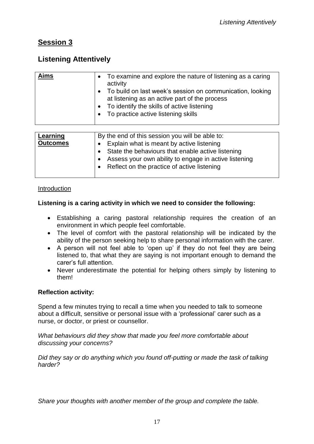# **Session 3**

# **Listening Attentively**

| Aims                        | To examine and explore the nature of listening as a caring<br>$\bullet$<br>activity<br>To build on last week's session on communication, looking<br>$\bullet$<br>at listening as an active part of the process<br>To identify the skills of active listening<br>$\bullet$<br>To practice active listening skills |
|-----------------------------|------------------------------------------------------------------------------------------------------------------------------------------------------------------------------------------------------------------------------------------------------------------------------------------------------------------|
|                             |                                                                                                                                                                                                                                                                                                                  |
| Learning<br><b>Outcomes</b> | By the end of this session you will be able to:<br>Explain what is meant by active listening                                                                                                                                                                                                                     |
|                             | State the behaviours that enable active listening<br>٠                                                                                                                                                                                                                                                           |
|                             | Assess your own ability to engage in active listening                                                                                                                                                                                                                                                            |

• Reflect on the practice of active listening

#### Introduction

### **Listening is a caring activity in which we need to consider the following:**

- Establishing a caring pastoral relationship requires the creation of an environment in which people feel comfortable.
- The level of comfort with the pastoral relationship will be indicated by the ability of the person seeking help to share personal information with the carer.
- A person will not feel able to 'open up' if they do not feel they are being listened to, that what they are saying is not important enough to demand the carer's full attention.
- Never underestimate the potential for helping others simply by listening to them!

#### **Reflection activity:**

Spend a few minutes trying to recall a time when you needed to talk to someone about a difficult, sensitive or personal issue with a 'professional' carer such as a nurse, or doctor, or priest or counsellor.

#### *What behaviours did they show that made you feel more comfortable about discussing your concerns?*

*Did they say or do anything which you found off-putting or made the task of talking harder?*

*Share your thoughts with another member of the group and complete the table.*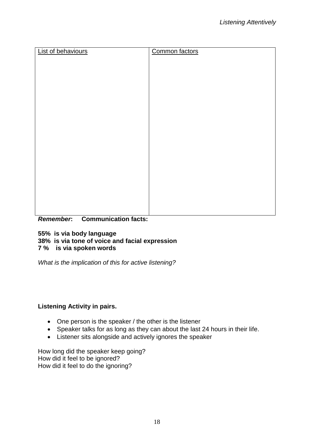| Common factors |
|----------------|
|                |
|                |
|                |
|                |
|                |
|                |
|                |
|                |
|                |
|                |
|                |
|                |
|                |
|                |
|                |
|                |
|                |

*Remember***: Communication facts:**

**55% is via body language**

**38% is via tone of voice and facial expression**

**7 % is via spoken words**

*What is the implication of this for active listening?*

#### **Listening Activity in pairs.**

- One person is the speaker / the other is the listener
- Speaker talks for as long as they can about the last 24 hours in their life.
- Listener sits alongside and actively ignores the speaker

How long did the speaker keep going? How did it feel to be ignored? How did it feel to do the ignoring?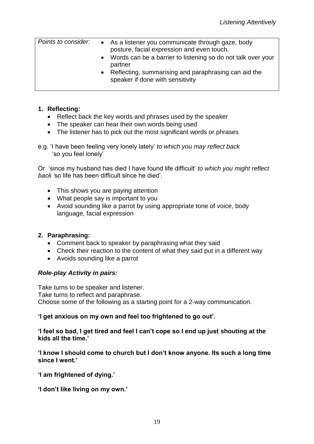| Points to consider. | • As a listener you communicate through gaze, body<br>posture, facial expression and even touch.<br>• Words can be a barrier to listening so do not talk over your<br>partner<br>• Reflecting, summarising and paraphrasing can aid the<br>speaker if done with sensitivity |
|---------------------|-----------------------------------------------------------------------------------------------------------------------------------------------------------------------------------------------------------------------------------------------------------------------------|
|                     |                                                                                                                                                                                                                                                                             |

#### **1. Reflecting:**

- Reflect back the key words and phrases used by the speaker
- The speaker can hear their own words being used
- The listener has to pick out the most significant words or phrases
- e.g. 'I have been feeling very lonely lately' *to which you may reflect back* 'so you feel lonely'

Or 'since my husband has died I have found life difficult' *to which you might reflect back '*so life has been difficult since he died'.

- This shows you are paying attention
- What people say is important to you
- Avoid sounding like a parrot by using appropriate tone of voice, body language, facial expression

## **2. Paraphrasing:**

- Comment back to speaker by paraphrasing what they said
- Check their reaction to the content of what they said put in a different way
- Avoids sounding like a parrot

## *Role-play Activity in pairs:*

Take turns to be speaker and listener. Take turns to reflect and paraphrase. Choose some of the following as a starting point for a 2-way communication.

#### **'I get anxious on my own and feel too frightened to go out'.**

**'I feel so bad, I get tired and feel I can't cope so I end up just shouting at the kids all the time.'**

**'I know I should come to church but I don't know anyone. Its such a long time since I went.'**

**'I am frightened of dying.'**

**'I don't like living on my own.'**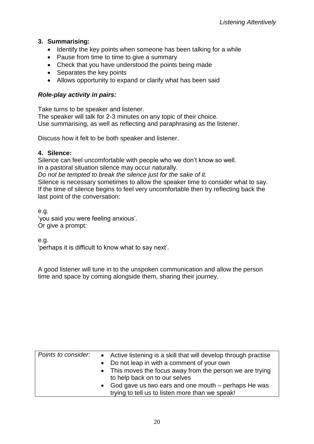## **3. Summarising:**

- Identify the key points when someone has been talking for a while
- Pause from time to time to give a summary
- Check that you have understood the points being made
- Separates the key points
- Allows opportunity to expand or clarify what has been said

#### *Role-play activity in pairs:*

Take turns to be speaker and listener. The speaker will talk for 2-3 minutes on any topic of their choice. Use summarising, as well as reflecting and paraphrasing as the listener.

Discuss how it felt to be both speaker and listener.

#### **4. Silence:**

Silence can feel uncomfortable with people who we don't know so well. In a pastoral situation silence may occur naturally.

*Do not be tempted to break the silence just for the sake of it.*

Silence is necessary sometimes to allow the speaker time to consider what to say. If the time of silence begins to feel very uncomfortable then try reflecting back the last point of the conversation:

e.g. 'you said you were feeling anxious'. Or give a prompt:

e.g.

'perhaps it is difficult to know what to say next'.

A good listener will tune in to the unspoken communication and allow the person time and space by coming alongside them, sharing their journey.

| Points to consider. | • Active listening is a skill that will develop through practise<br>• Do not leap in with a comment of your own<br>• This moves the focus away from the person we are trying<br>to help back on to our selves<br>• God gave us two ears and one mouth – perhaps He was<br>trying to tell us to listen more than we speak! |
|---------------------|---------------------------------------------------------------------------------------------------------------------------------------------------------------------------------------------------------------------------------------------------------------------------------------------------------------------------|
|                     |                                                                                                                                                                                                                                                                                                                           |
|                     |                                                                                                                                                                                                                                                                                                                           |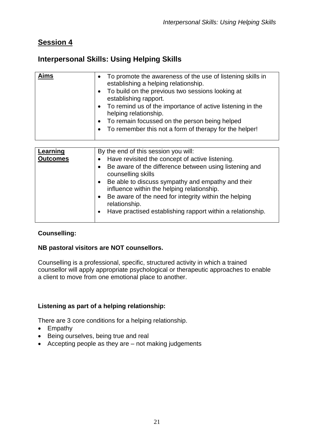# **Session 4**

# **Interpersonal Skills: Using Helping Skills**

| • To promote the awareness of the use of listening skills in<br>establishing a helping relationship.<br>• To build on the previous two sessions looking at<br>establishing rapport.<br>• To remind us of the importance of active listening in the<br>helping relationship.<br>• To remain focussed on the person being helped<br>To remember this not a form of therapy for the helper! |
|------------------------------------------------------------------------------------------------------------------------------------------------------------------------------------------------------------------------------------------------------------------------------------------------------------------------------------------------------------------------------------------|
| By the end of this session you will:                                                                                                                                                                                                                                                                                                                                                     |
| House roughted the concent of optive lietening                                                                                                                                                                                                                                                                                                                                           |
|                                                                                                                                                                                                                                                                                                                                                                                          |

| Learning        | By the end of this session you will:                                                            |
|-----------------|-------------------------------------------------------------------------------------------------|
| <b>Outcomes</b> | Have revisited the concept of active listening.<br>$\bullet$                                    |
|                 | Be aware of the difference between using listening and<br>$\bullet$<br>counselling skills       |
|                 | Be able to discuss sympathy and empathy and their<br>influence within the helping relationship. |
|                 | Be aware of the need for integrity within the helping<br>$\bullet$<br>relationship.             |
|                 | Have practised establishing rapport within a relationship.<br>$\bullet$                         |

## **Counselling:**

#### **NB pastoral visitors are NOT counsellors.**

Counselling is a professional, specific, structured activity in which a trained counsellor will apply appropriate psychological or therapeutic approaches to enable a client to move from one emotional place to another.

## **Listening as part of a helping relationship:**

There are 3 core conditions for a helping relationship.

- Empathy
- Being ourselves, being true and real
- Accepting people as they are not making judgements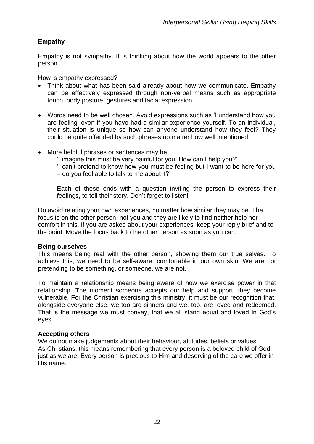## **Empathy**

Empathy is not sympathy. It is thinking about how the world appears to the other person.

How is empathy expressed?

- Think about what has been said already about how we communicate. Empathy can be effectively expressed through non-verbal means such as appropriate touch, body posture, gestures and facial expression.
- Words need to be well chosen. Avoid expressions such as 'I understand how you are feeling' even if you have had a similar experience yourself. To an individual, their situation is unique so how can anyone understand how they feel? They could be quite offended by such phrases no matter how well intentioned.
- More helpful phrases or sentences may be:
	- 'I imagine this must be very painful for you. How can I help you?'
	- 'I can't pretend to know how you must be feeling but I want to be here for you – do you feel able to talk to me about it?'

Each of these ends with a question inviting the person to express their feelings, to tell their story. Don't forget to listen!

Do avoid relating your own experiences, no matter how similar they may be. The focus is on the other person, not you and they are likely to find neither help nor comfort in this. If you are asked about your experiences, keep your reply brief and to the point. Move the focus back to the other person as soon as you can.

#### **Being ourselves**

This means being real with the other person, showing them our true selves. To achieve this, we need to be self-aware, comfortable in our own skin. We are not pretending to be something, or someone, we are not.

To maintain a relationship means being aware of how we exercise power in that relationship. The moment someone accepts our help and support, they become vulnerable. For the Christian exercising this ministry, it must be our recognition that, alongside everyone else, we too are sinners and we, too, are loved and redeemed. That is the message we must convey, that we all stand equal and loved in God's eyes.

#### **Accepting others**

We do not make judgements about their behaviour, attitudes, beliefs or values. As Christians, this means remembering that every person is a beloved child of God just as we are. Every person is precious to Him and deserving of the care we offer in His name.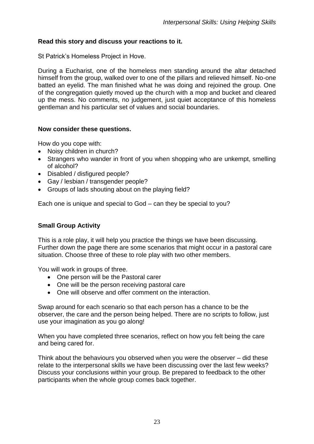#### **Read this story and discuss your reactions to it.**

St Patrick's Homeless Project in Hove.

During a Eucharist, one of the homeless men standing around the altar detached himself from the group, walked over to one of the pillars and relieved himself. No-one batted an eyelid. The man finished what he was doing and rejoined the group. One of the congregation quietly moved up the church with a mop and bucket and cleared up the mess. No comments, no judgement, just quiet acceptance of this homeless gentleman and his particular set of values and social boundaries.

#### **Now consider these questions.**

How do you cope with:

- Noisy children in church?
- Strangers who wander in front of you when shopping who are unkempt, smelling of alcohol?
- Disabled / disfigured people?
- Gay / lesbian / transgender people?
- Groups of lads shouting about on the playing field?

Each one is unique and special to God – can they be special to you?

#### **Small Group Activity**

This is a role play, it will help you practice the things we have been discussing. Further down the page there are some scenarios that might occur in a pastoral care situation. Choose three of these to role play with two other members.

You will work in groups of three.

- One person will be the Pastoral carer
- One will be the person receiving pastoral care
- One will observe and offer comment on the interaction.

Swap around for each scenario so that each person has a chance to be the observer, the care and the person being helped. There are no scripts to follow, just use your imagination as you go along!

When you have completed three scenarios, reflect on how you felt being the care and being cared for.

Think about the behaviours you observed when you were the observer – did these relate to the interpersonal skills we have been discussing over the last few weeks? Discuss your conclusions within your group. Be prepared to feedback to the other participants when the whole group comes back together.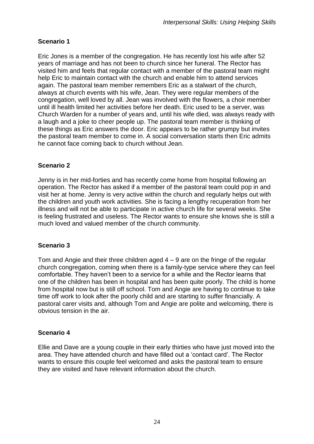# **Scenario 1**

Eric Jones is a member of the congregation. He has recently lost his wife after 52 years of marriage and has not been to church since her funeral. The Rector has visited him and feels that regular contact with a member of the pastoral team might help Eric to maintain contact with the church and enable him to attend services again. The pastoral team member remembers Eric as a stalwart of the church, always at church events with his wife, Jean. They were regular members of the congregation, well loved by all. Jean was involved with the flowers, a choir member until ill health limited her activities before her death. Eric used to be a server, was Church Warden for a number of years and, until his wife died, was always ready with a laugh and a joke to cheer people up. The pastoral team member is thinking of these things as Eric answers the door. Eric appears to be rather grumpy but invites the pastoral team member to come in. A social conversation starts then Eric admits he cannot face coming back to church without Jean.

## **Scenario 2**

Jenny is in her mid-forties and has recently come home from hospital following an operation. The Rector has asked if a member of the pastoral team could pop in and visit her at home. Jenny is very active within the church and regularly helps out with the children and youth work activities. She is facing a lengthy recuperation from her illness and will not be able to participate in active church life for several weeks. She is feeling frustrated and useless. The Rector wants to ensure she knows she is still a much loved and valued member of the church community.

#### **Scenario 3**

Tom and Angie and their three children aged  $4 - 9$  are on the fringe of the regular church congregation, coming when there is a family-type service where they can feel comfortable. They haven't been to a service for a while and the Rector learns that one of the children has been in hospital and has been quite poorly. The child is home from hospital now but is still off school. Tom and Angie are having to continue to take time off work to look after the poorly child and are starting to suffer financially. A pastoral carer visits and, although Tom and Angie are polite and welcoming, there is obvious tension in the air.

## **Scenario 4**

Ellie and Dave are a young couple in their early thirties who have just moved into the area. They have attended church and have filled out a 'contact card'. The Rector wants to ensure this couple feel welcomed and asks the pastoral team to ensure they are visited and have relevant information about the church.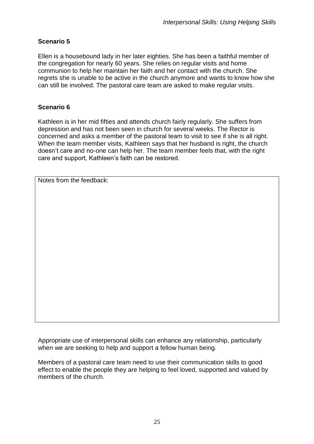# **Scenario 5**

Ellen is a housebound lady in her later eighties. She has been a faithful member of the congregation for nearly 60 years. She relies on regular visits and home communion to help her maintain her faith and her contact with the church. She regrets she is unable to be active in the church anymore and wants to know how she can still be involved. The pastoral care team are asked to make regular visits.

# **Scenario 6**

Kathleen is in her mid fifties and attends church fairly regularly. She suffers from depression and has not been seen in church for several weeks. The Rector is concerned and asks a member of the pastoral team to visit to see if she is all right. When the team member visits, Kathleen says that her husband is right, the church doesn't care and no-one can help her. The team member feels that, with the right care and support, Kathleen's faith can be restored.

Notes from the feedback:

Appropriate use of interpersonal skills can enhance any relationship, particularly when we are seeking to help and support a fellow human being.

Members of a pastoral care team need to use their communication skills to good effect to enable the people they are helping to feel loved, supported and valued by members of the church.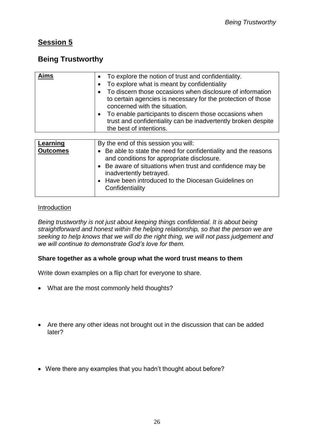# **Session 5**

# **Being Trustworthy**

| <b>Aims</b>     | • To explore the notion of trust and confidentiality.<br>To explore what is meant by confidentiality<br>٠<br>To discern those occasions when disclosure of information<br>to certain agencies is necessary for the protection of those<br>concerned with the situation.<br>To enable participants to discern those occasions when<br>$\bullet$<br>trust and confidentiality can be inadvertently broken despite<br>the best of intentions. |
|-----------------|--------------------------------------------------------------------------------------------------------------------------------------------------------------------------------------------------------------------------------------------------------------------------------------------------------------------------------------------------------------------------------------------------------------------------------------------|
|                 |                                                                                                                                                                                                                                                                                                                                                                                                                                            |
| Learning        | By the end of this session you will:                                                                                                                                                                                                                                                                                                                                                                                                       |
| <b>Outcomes</b> | • Be able to state the need for confidentiality and the reasons<br>and conditions for appropriate disclosure.<br>De quare of oituotions whom truct and confidence mou he                                                                                                                                                                                                                                                                   |

| and conditions for appropriate disclosure.                        |
|-------------------------------------------------------------------|
| $\bullet$ Be aware of situations when trust and confidence may be |
| inadvertently betrayed.                                           |
| I • Have been introduced to the Diocesan Guidelines on            |
| Confidentiality                                                   |

#### Introduction

*Being trustworthy is not just about keeping things confidential. It is about being straightforward and honest within the helping relationship, so that the person we are seeking to help knows that we will do the right thing, we will not pass judgement and we will continue to demonstrate God's love for them.*

#### **Share together as a whole group what the word trust means to them**

Write down examples on a flip chart for everyone to share.

- What are the most commonly held thoughts?
- Are there any other ideas not brought out in the discussion that can be added later?
- Were there any examples that you hadn't thought about before?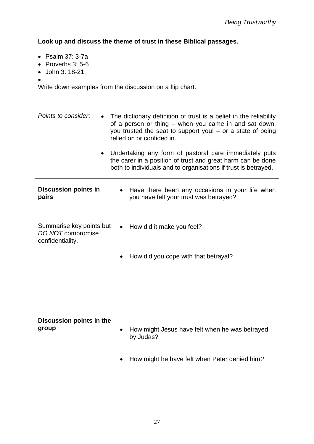**Look up and discuss the theme of trust in these Biblical passages.**

- Psalm 37: 3-7a
- $\bullet$  Proverbs 3:5-6
- John 3: 18-21,
- $\bullet$

Write down examples from the discussion on a flip chart.

| Points to consider.<br>$\bullet$                                  | The dictionary definition of trust is a belief in the reliability<br>of a person or thing – when you came in and sat down,<br>you trusted the seat to support you! – or a state of being<br>relied on or confided in. |                                                                                                                                                                                         |
|-------------------------------------------------------------------|-----------------------------------------------------------------------------------------------------------------------------------------------------------------------------------------------------------------------|-----------------------------------------------------------------------------------------------------------------------------------------------------------------------------------------|
| $\bullet$                                                         |                                                                                                                                                                                                                       | Undertaking any form of pastoral care immediately puts<br>the carer in a position of trust and great harm can be done<br>both to individuals and to organisations if trust is betrayed. |
| <b>Discussion points in</b><br>pairs                              | $\bullet$                                                                                                                                                                                                             | Have there been any occasions in your life when<br>you have felt your trust was betrayed?                                                                                               |
| Summarise key points but<br>DO NOT compromise<br>confidentiality. | $\bullet$                                                                                                                                                                                                             | How did it make you feel?                                                                                                                                                               |

• How did you cope with that betrayal?

#### **Discussion points in the group**

- How might Jesus have felt when he was betrayed by Judas?
- How might he have felt when Peter denied him*?*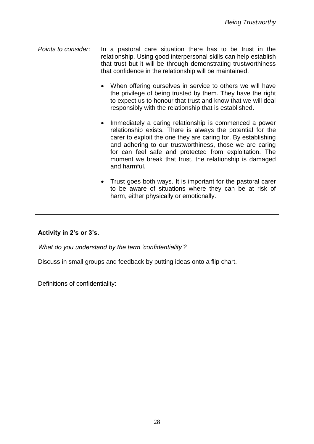*Points to consider*: In a pastoral care situation there has to be trust in the relationship. Using good interpersonal skills can help establish that trust but it will be through demonstrating trustworthiness that confidence in the relationship will be maintained.

- When offering ourselves in service to others we will have the privilege of being trusted by them. They have the right to expect us to honour that trust and know that we will deal responsibly with the relationship that is established.
- Immediately a caring relationship is commenced a power relationship exists. There is always the potential for the carer to exploit the one they are caring for. By establishing and adhering to our trustworthiness, those we are caring for can feel safe and protected from exploitation. The moment we break that trust, the relationship is damaged and harmful.
- Trust goes both ways. It is important for the pastoral carer to be aware of situations where they can be at risk of harm, either physically or emotionally.

# **Activity in 2's or 3's.**

*What do you understand by the term 'confidentiality'?*

Discuss in small groups and feedback by putting ideas onto a flip chart.

Definitions of confidentiality: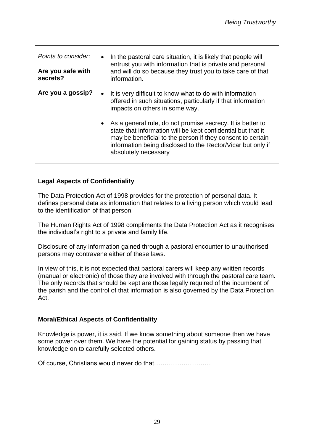| Points to consider.<br>Are you safe with<br>secrets? |           | In the pastoral care situation, it is likely that people will<br>entrust you with information that is private and personal<br>and will do so because they trust you to take care of that<br>information.                                                                          |
|------------------------------------------------------|-----------|-----------------------------------------------------------------------------------------------------------------------------------------------------------------------------------------------------------------------------------------------------------------------------------|
| Are you a gossip?                                    | $\bullet$ | It is very difficult to know what to do with information<br>offered in such situations, particularly if that information<br>impacts on others in some way.                                                                                                                        |
|                                                      |           | • As a general rule, do not promise secrecy. It is better to<br>state that information will be kept confidential but that it<br>may be beneficial to the person if they consent to certain<br>information being disclosed to the Rector/Vicar but only if<br>absolutely necessary |

### **Legal Aspects of Confidentiality**

The Data Protection Act of 1998 provides for the protection of personal data. It defines personal data as information that relates to a living person which would lead to the identification of that person.

The Human Rights Act of 1998 compliments the Data Protection Act as it recognises the individual's right to a private and family life.

Disclosure of any information gained through a pastoral encounter to unauthorised persons may contravene either of these laws.

In view of this, it is not expected that pastoral carers will keep any written records (manual or electronic) of those they are involved with through the pastoral care team. The only records that should be kept are those legally required of the incumbent of the parish and the control of that information is also governed by the Data Protection Act.

#### **Moral/Ethical Aspects of Confidentiality**

Knowledge is power, it is said. If we know something about someone then we have some power over them. We have the potential for gaining status by passing that knowledge on to carefully selected others.

Of course, Christians would never do that………………………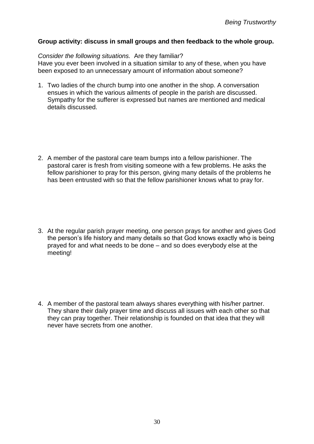#### **Group activity: discuss in small groups and then feedback to the whole group.**

*Consider the following situations.* Are they familiar? Have you ever been involved in a situation similar to any of these, when you have been exposed to an unnecessary amount of information about someone?

- 1. Two ladies of the church bump into one another in the shop. A conversation ensues in which the various ailments of people in the parish are discussed. Sympathy for the sufferer is expressed but names are mentioned and medical details discussed.
- 2. A member of the pastoral care team bumps into a fellow parishioner. The pastoral carer is fresh from visiting someone with a few problems. He asks the fellow parishioner to pray for this person, giving many details of the problems he has been entrusted with so that the fellow parishioner knows what to pray for.
- 3. At the regular parish prayer meeting, one person prays for another and gives God the person's life history and many details so that God knows exactly who is being prayed for and what needs to be done – and so does everybody else at the meeting!
- 4. A member of the pastoral team always shares everything with his/her partner. They share their daily prayer time and discuss all issues with each other so that they can pray together. Their relationship is founded on that idea that they will never have secrets from one another.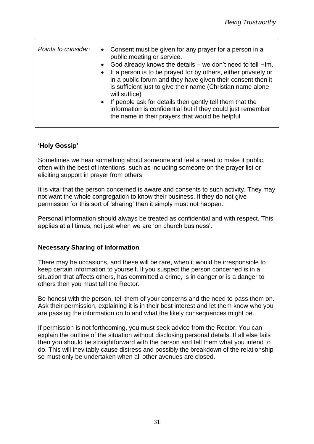| public meeting or service.<br>• God already knows the details – we don't need to tell Him.<br>• If a person is to be prayed for by others, either privately or<br>in a public forum and they have given their consent then it<br>is sufficient just to give their name (Christian name alone<br>will suffice)<br>• If people ask for details then gently tell them that the<br>information is confidential but if they could just remember<br>the name in their prayers that would be helpful |
|-----------------------------------------------------------------------------------------------------------------------------------------------------------------------------------------------------------------------------------------------------------------------------------------------------------------------------------------------------------------------------------------------------------------------------------------------------------------------------------------------|
|-----------------------------------------------------------------------------------------------------------------------------------------------------------------------------------------------------------------------------------------------------------------------------------------------------------------------------------------------------------------------------------------------------------------------------------------------------------------------------------------------|

### **'Holy Gossip'**

Sometimes we hear something about someone and feel a need to make it public, often with the best of intentions, such as including someone on the prayer list or eliciting support in prayer from others.

It is vital that the person concerned is aware and consents to such activity. They may not want the whole congregation to know their business. If they do not give permission for this sort of 'sharing' then it simply must not happen.

Personal information should always be treated as confidential and with respect. This applies at all times, not just when we are 'on church business'.

#### **Necessary Sharing of Information**

There may be occasions, and these will be rare, when it would be irresponsible to keep certain information to yourself. If you suspect the person concerned is in a situation that affects others, has committed a crime, is in danger or is a danger to others then you must tell the Rector.

Be honest with the person, tell them of your concerns and the need to pass them on. Ask their permission, explaining it is in their best interest and let them know who you are passing the information on to and what the likely consequences might be.

If permission is not forthcoming, you must seek advice from the Rector. You can explain the outline of the situation without disclosing personal details. If all else fails then you should be straightforward with the person and tell them what you intend to do. This will inevitably cause distress and possibly the breakdown of the relationship so must only be undertaken when all other avenues are closed.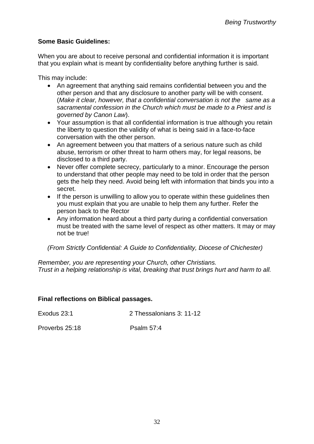## **Some Basic Guidelines:**

When you are about to receive personal and confidential information it is important that you explain what is meant by confidentiality before anything further is said.

This may include:

- An agreement that anything said remains confidential between you and the other person and that any disclosure to another party will be with consent. (*Make it clear, however, that a confidential conversation is not the same as a sacramental confession in the Church which must be made to a Priest and is governed by Canon Law*).
- Your assumption is that all confidential information is true although you retain the liberty to question the validity of what is being said in a face-to-face conversation with the other person.
- An agreement between you that matters of a serious nature such as child abuse, terrorism or other threat to harm others may, for legal reasons, be disclosed to a third party.
- Never offer complete secrecy, particularly to a minor. Encourage the person to understand that other people may need to be told in order that the person gets the help they need. Avoid being left with information that binds you into a secret.
- If the person is unwilling to allow you to operate within these quidelines then you must explain that you are unable to help them any further. Refer the person back to the Rector
- Any information heard about a third party during a confidential conversation must be treated with the same level of respect as other matters. It may or may not be true!

*(From Strictly Confidential: A Guide to Confidentiality, Diocese of Chichester)*

*Remember, you are representing your Church, other Christians. Trust in a helping relationship is vital, breaking that trust brings hurt and harm to all.*

#### **Final reflections on Biblical passages.**

| Exodus 23:1 | 2 Thessalonians 3: 11-12 |
|-------------|--------------------------|
|             |                          |

Proverbs 25:18 Psalm 57:4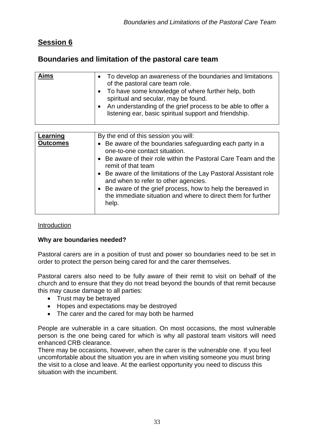# **Session 6**

# **Boundaries and limitation of the pastoral care team**

| <b>Aims</b> | • To develop an awareness of the boundaries and limitations                                                                                                                                                             |
|-------------|-------------------------------------------------------------------------------------------------------------------------------------------------------------------------------------------------------------------------|
|             | of the pastoral care team role.                                                                                                                                                                                         |
|             | • To have some knowledge of where further help, both<br>spiritual and secular, may be found.<br>• An understanding of the grief process to be able to offer a<br>listening ear, basic spiritual support and friendship. |
|             |                                                                                                                                                                                                                         |

| Learning        | By the end of this session you will:                                                                                                                         |
|-----------------|--------------------------------------------------------------------------------------------------------------------------------------------------------------|
| <b>Outcomes</b> | • Be aware of the boundaries safeguarding each party in a<br>one-to-one contact situation.<br>• Be aware of their role within the Pastoral Care Team and the |
|                 | remit of that team                                                                                                                                           |
|                 | • Be aware of the limitations of the Lay Pastoral Assistant role<br>and when to refer to other agencies.                                                     |
|                 | • Be aware of the grief process, how to help the bereaved in<br>the immediate situation and where to direct them for further<br>help.                        |
|                 |                                                                                                                                                              |

#### Introduction

#### **Why are boundaries needed?**

Pastoral carers are in a position of trust and power so boundaries need to be set in order to protect the person being cared for and the carer themselves.

Pastoral carers also need to be fully aware of their remit to visit on behalf of the church and to ensure that they do not tread beyond the bounds of that remit because this may cause damage to all parties:

- Trust may be betrayed
- Hopes and expectations may be destroyed
- The carer and the cared for may both be harmed

People are vulnerable in a care situation. On most occasions, the most vulnerable person is the one being cared for which is why all pastoral team visitors will need enhanced CRB clearance.

There may be occasions, however, when the carer is the vulnerable one. If you feel uncomfortable about the situation you are in when visiting someone you must bring the visit to a close and leave. At the earliest opportunity you need to discuss this situation with the incumbent.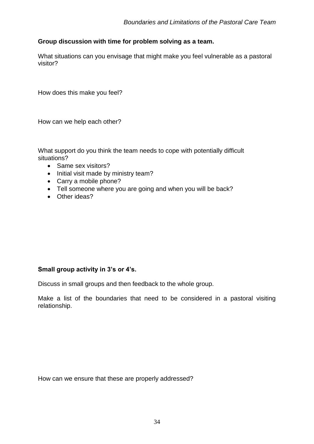#### **Group discussion with time for problem solving as a team.**

What situations can you envisage that might make you feel vulnerable as a pastoral visitor?

How does this make you feel?

How can we help each other?

What support do you think the team needs to cope with potentially difficult situations?

- Same sex visitors?
- Initial visit made by ministry team?
- Carry a mobile phone?
- Tell someone where you are going and when you will be back?
- Other ideas?

#### **Small group activity in 3's or 4's.**

Discuss in small groups and then feedback to the whole group.

Make a list of the boundaries that need to be considered in a pastoral visiting relationship.

How can we ensure that these are properly addressed?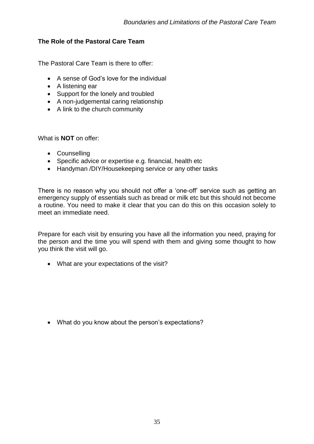## **The Role of the Pastoral Care Team**

The Pastoral Care Team is there to offer:

- A sense of God's love for the individual
- A listening ear
- Support for the lonely and troubled
- A non-judgemental caring relationship
- A link to the church community

What is **NOT** on offer:

- Counselling
- Specific advice or expertise e.g. financial, health etc
- Handyman /DIY/Housekeeping service or any other tasks

There is no reason why you should not offer a 'one-off' service such as getting an emergency supply of essentials such as bread or milk etc but this should not become a routine. You need to make it clear that you can do this on this occasion solely to meet an immediate need.

Prepare for each visit by ensuring you have all the information you need, praying for the person and the time you will spend with them and giving some thought to how you think the visit will go.

What are your expectations of the visit?

What do you know about the person's expectations?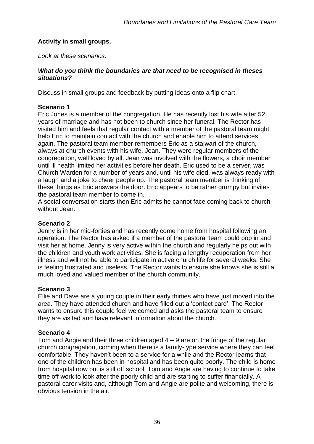#### **Activity in small groups.**

*Look at these scenarios.*

#### *What do you think the boundaries are that need to be recognised in theses situations?*

Discuss in small groups and feedback by putting ideas onto a flip chart.

### **Scenario 1**

Eric Jones is a member of the congregation. He has recently lost his wife after 52 years of marriage and has not been to church since her funeral. The Rector has visited him and feels that regular contact with a member of the pastoral team might help Eric to maintain contact with the church and enable him to attend services again. The pastoral team member remembers Eric as a stalwart of the church, always at church events with his wife, Jean. They were regular members of the congregation, well loved by all. Jean was involved with the flowers, a choir member until ill health limited her activities before her death. Eric used to be a server, was Church Warden for a number of years and, until his wife died, was always ready with a laugh and a joke to cheer people up. The pastoral team member is thinking of these things as Eric answers the door. Eric appears to be rather grumpy but invites the pastoral team member to come in.

A social conversation starts then Eric admits he cannot face coming back to church without Jean.

#### **Scenario 2**

Jenny is in her mid-forties and has recently come home from hospital following an operation. The Rector has asked if a member of the pastoral team could pop in and visit her at home. Jenny is very active within the church and regularly helps out with the children and youth work activities. She is facing a lengthy recuperation from her illness and will not be able to participate in active church life for several weeks. She is feeling frustrated and useless. The Rector wants to ensure she knows she is still a much loved and valued member of the church community.

#### **Scenario 3**

Ellie and Dave are a young couple in their early thirties who have just moved into the area. They have attended church and have filled out a 'contact card'. The Rector wants to ensure this couple feel welcomed and asks the pastoral team to ensure they are visited and have relevant information about the church.

#### **Scenario 4**

Tom and Angie and their three children aged  $4 - 9$  are on the fringe of the regular church congregation, coming when there is a family-type service where they can feel comfortable. They haven't been to a service for a while and the Rector learns that one of the children has been in hospital and has been quite poorly. The child is home from hospital now but is still off school. Tom and Angie are having to continue to take time off work to look after the poorly child and are starting to suffer financially. A pastoral carer visits and, although Tom and Angie are polite and welcoming, there is obvious tension in the air.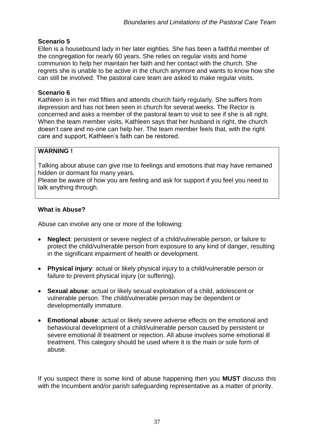## **Scenario 5**

Ellen is a housebound lady in her later eighties. She has been a faithful member of the congregation for nearly 60 years. She relies on regular visits and home communion to help her maintain her faith and her contact with the church. She regrets she is unable to be active in the church anymore and wants to know how she can still be involved. The pastoral care team are asked to make regular visits.

#### **Scenario 6**

Kathleen is in her mid fifties and attends church fairly regularly. She suffers from depression and has not been seen in church for several weeks. The Rector is concerned and asks a member of the pastoral team to visit to see if she is all right. When the team member visits, Kathleen says that her husband is right, the church doesn't care and no-one can help her. The team member feels that, with the right care and support, Kathleen's faith can be restored.

### **WARNING !**

Talking about abuse can give rise to feelings and emotions that may have remained hidden or dormant for many years.

Please be aware of how you are feeling and ask for support if you feel you need to talk anything through.

## **What is Abuse?**

Abuse can involve any one or more of the following:

- **Neglect**: persistent or severe neglect of a child/vulnerable person, or failure to protect the child/vulnerable person from exposure to any kind of danger, resulting in the significant impairment of health or development.
- **Physical injury**: actual or likely physical injury to a child/vulnerable person or failure to prevent physical injury (or suffering).
- **Sexual abuse**: actual or likely sexual exploitation of a child, adolescent or vulnerable person. The child/vulnerable person may be dependent or developmentally immature.
- **Emotional abuse**: actual or likely severe adverse effects on the emotional and behavioural development of a child/vulnerable person caused by persistent or severe emotional ill treatment or rejection. All abuse involves some emotional ill treatment. This category should be used where it is the main or sole form of abuse.

If you suspect there is some kind of abuse happening then you **MUST** discuss this with the Incumbent and/or parish safeguarding representative as a matter of priority.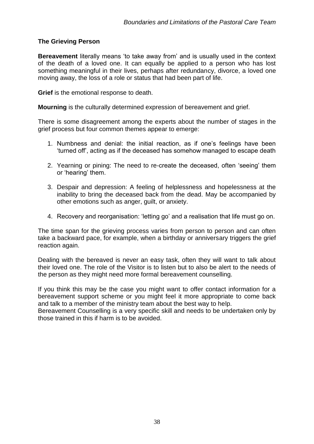#### **The Grieving Person**

**Bereavement** literally means 'to take away from' and is usually used in the context of the death of a loved one. It can equally be applied to a person who has lost something meaningful in their lives, perhaps after redundancy, divorce, a loved one moving away, the loss of a role or status that had been part of life.

**Grief** is the emotional response to death.

**Mourning** is the culturally determined expression of bereavement and grief.

There is some disagreement among the experts about the number of stages in the grief process but four common themes appear to emerge:

- 1. Numbness and denial: the initial reaction, as if one's feelings have been 'turned off', acting as if the deceased has somehow managed to escape death
- 2. Yearning or pining: The need to re-create the deceased, often 'seeing' them or 'hearing' them.
- 3. Despair and depression: A feeling of helplessness and hopelessness at the inability to bring the deceased back from the dead. May be accompanied by other emotions such as anger, guilt, or anxiety.
- 4. Recovery and reorganisation: 'letting go' and a realisation that life must go on.

The time span for the grieving process varies from person to person and can often take a backward pace, for example, when a birthday or anniversary triggers the grief reaction again.

Dealing with the bereaved is never an easy task, often they will want to talk about their loved one. The role of the Visitor is to listen but to also be alert to the needs of the person as they might need more formal bereavement counselling.

If you think this may be the case you might want to offer contact information for a bereavement support scheme or you might feel it more appropriate to come back and talk to a member of the ministry team about the best way to help.

Bereavement Counselling is a very specific skill and needs to be undertaken only by those trained in this if harm is to be avoided.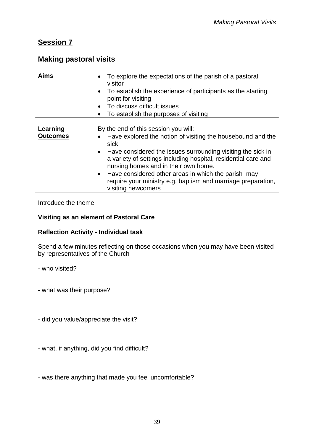# **Session 7**

# **Making pastoral visits**

| Aims                        | To explore the expectations of the parish of a pastoral<br>visitor<br>To establish the experience of participants as the starting<br>$\bullet$<br>point for visiting<br>To discuss difficult issues<br>To establish the purposes of visiting<br>$\bullet$                                                                                                                                                                                                   |
|-----------------------------|-------------------------------------------------------------------------------------------------------------------------------------------------------------------------------------------------------------------------------------------------------------------------------------------------------------------------------------------------------------------------------------------------------------------------------------------------------------|
| Learning<br><b>Outcomes</b> | By the end of this session you will:<br>Have explored the notion of visiting the housebound and the<br>sick<br>Have considered the issues surrounding visiting the sick in<br>$\bullet$<br>a variety of settings including hospital, residential care and<br>nursing homes and in their own home.<br>Have considered other areas in which the parish may<br>$\bullet$<br>require your ministry e.g. baptism and marriage preparation,<br>visiting newcomers |

#### Introduce the theme

#### **Visiting as an element of Pastoral Care**

#### **Reflection Activity - Individual task**

Spend a few minutes reflecting on those occasions when you may have been visited by representatives of the Church

- who visited?
- what was their purpose?
- did you value/appreciate the visit?
- what, if anything, did you find difficult?
- was there anything that made you feel uncomfortable?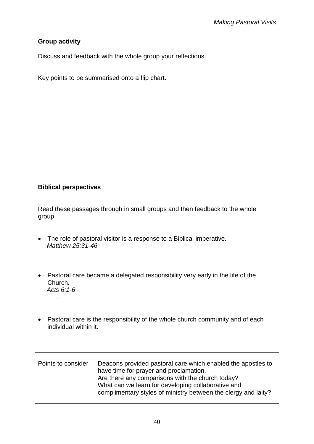## **Group activity**

Discuss and feedback with the whole group your reflections.

Key points to be summarised onto a flip chart.

### **Biblical perspectives**

Read these passages through in small groups and then feedback to the whole group.

- The role of pastoral visitor is a response to a Biblical imperative.  *Matthew 25:31-46*
- Pastoral care became a delegated responsibility very early in the life of the Church**.** *Acts 6:1-6* .
- Pastoral care is the responsibility of the whole church community and of each individual within it.

| Points to consider | Deacons provided pastoral care which enabled the apostles to<br>have time for prayer and proclamation.<br>Are there any comparisons with the church today?<br>What can we learn for developing collaborative and<br>complimentary styles of ministry between the clergy and laity? |
|--------------------|------------------------------------------------------------------------------------------------------------------------------------------------------------------------------------------------------------------------------------------------------------------------------------|
|                    |                                                                                                                                                                                                                                                                                    |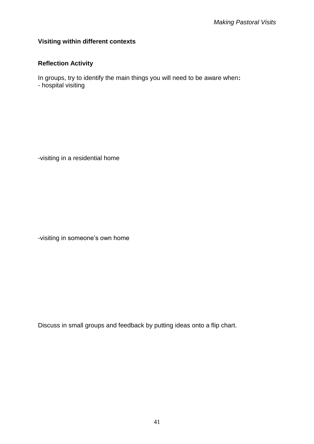#### **Visiting within different contexts**

# **Reflection Activity**

In groups, try to identify the main things you will need to be aware when**:** - hospital visiting

-visiting in a residential home

-visiting in someone's own home

Discuss in small groups and feedback by putting ideas onto a flip chart.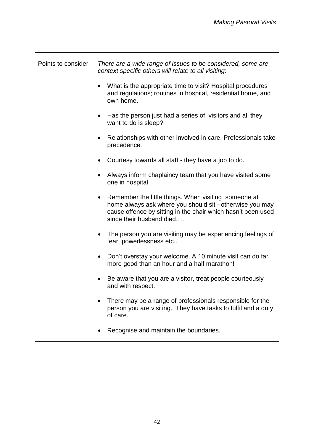| Points to consider | There are a wide range of issues to be considered, some are<br>context specific others will relate to all visiting:                                                                                               |
|--------------------|-------------------------------------------------------------------------------------------------------------------------------------------------------------------------------------------------------------------|
|                    | What is the appropriate time to visit? Hospital procedures<br>$\bullet$<br>and regulations; routines in hospital, residential home, and<br>own home.                                                              |
|                    | Has the person just had a series of visitors and all they<br>want to do is sleep?                                                                                                                                 |
|                    | Relationships with other involved in care. Professionals take<br>precedence.                                                                                                                                      |
|                    | Courtesy towards all staff - they have a job to do.                                                                                                                                                               |
|                    | Always inform chaplaincy team that you have visited some<br>one in hospital.                                                                                                                                      |
|                    | Remember the little things. When visiting someone at<br>٠<br>home always ask where you should sit - otherwise you may<br>cause offence by sitting in the chair which hasn't been used<br>since their husband died |
|                    | The person you are visiting may be experiencing feelings of<br>fear, powerlessness etc                                                                                                                            |
|                    | Don't overstay your welcome. A 10 minute visit can do far<br>٠<br>more good than an hour and a half marathon!                                                                                                     |
|                    | Be aware that you are a visitor, treat people courteously<br>and with respect.                                                                                                                                    |
|                    | There may be a range of professionals responsible for the<br>person you are visiting. They have tasks to fulfil and a duty<br>of care.                                                                            |
|                    | Recognise and maintain the boundaries.                                                                                                                                                                            |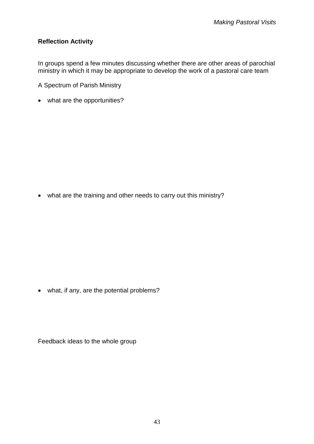# **Reflection Activity**

In groups spend a few minutes discussing whether there are other areas of parochial ministry in which it may be appropriate to develop the work of a pastoral care team

A Spectrum of Parish Ministry

what are the opportunities?

what are the training and other needs to carry out this ministry?

• what, if any, are the potential problems?

Feedback ideas to the whole group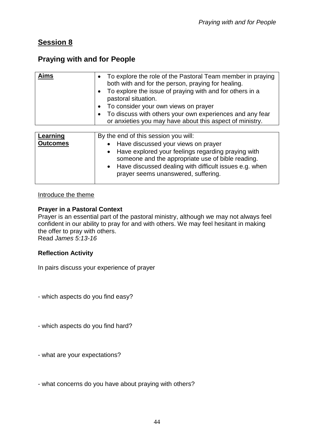# **Session 8**

# **Praying with and for People**

| Aims                        | To explore the role of the Pastoral Team member in praying<br>$\bullet$<br>both with and for the person, praying for healing.<br>To explore the issue of praying with and for others in a<br>$\bullet$<br>pastoral situation.<br>To consider your own views on prayer<br>$\bullet$<br>To discuss with others your own experiences and any fear<br>$\bullet$<br>or anxieties you may have about this aspect of ministry. |
|-----------------------------|-------------------------------------------------------------------------------------------------------------------------------------------------------------------------------------------------------------------------------------------------------------------------------------------------------------------------------------------------------------------------------------------------------------------------|
| Learning<br><b>Outcomes</b> | By the end of this session you will:<br>Have discussed your views on prayer<br>Have explored your feelings regarding praying with<br>$\bullet$<br>someone and the appropriate use of bible reading.<br>• Have discussed dealing with difficult issues e.g. when<br>prayer seems unanswered, suffering.                                                                                                                  |

#### Introduce the theme

#### **Prayer in a Pastoral Context**

Prayer is an essential part of the pastoral ministry, although we may not always feel confident in our ability to pray for and with others. We may feel hesitant in making the offer to pray with others.

Read *James 5:13-16*

#### **Reflection Activity**

In pairs discuss your experience of prayer

- which aspects do you find easy?

- which aspects do you find hard?

- what are your expectations?

- what concerns do you have about praying with others?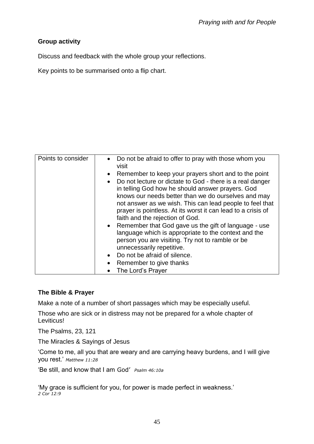# **Group activity**

Discuss and feedback with the whole group your reflections.

Key points to be summarised onto a flip chart.

| Points to consider | • Do not be afraid to offer to pray with those whom you<br>visit  |
|--------------------|-------------------------------------------------------------------|
|                    | Remember to keep your prayers short and to the point<br>$\bullet$ |
|                    | Do not lecture or dictate to God - there is a real danger         |
|                    | in telling God how he should answer prayers. God                  |
|                    | knows our needs better than we do ourselves and may               |
|                    | not answer as we wish. This can lead people to feel that          |
|                    | prayer is pointless. At its worst it can lead to a crisis of      |
|                    | faith and the rejection of God.                                   |
|                    | • Remember that God gave us the gift of language - use            |
|                    | language which is appropriate to the context and the              |
|                    | person you are visiting. Try not to ramble or be                  |
|                    | unnecessarily repetitive.                                         |
|                    | • Do not be afraid of silence.                                    |
|                    | Remember to give thanks                                           |
|                    | The Lord's Prayer                                                 |

## **The Bible & Prayer**

Make a note of a number of short passages which may be especially useful.

Those who are sick or in distress may not be prepared for a whole chapter of Leviticus!

The Psalms, 23, 121

The Miracles & Sayings of Jesus

'Come to me, all you that are weary and are carrying heavy burdens, and I will give you rest.' *Matthew 11:28*

'Be still, and know that I am God' *Psalm 46:10a*

'My grace is sufficient for you, for power is made perfect in weakness.' *2 Cor 12:9*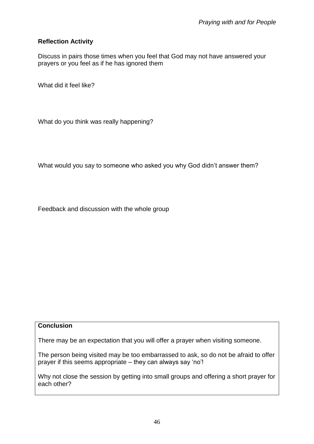#### **Reflection Activity**

Discuss in pairs those times when you feel that God may not have answered your prayers or you feel as if he has ignored them

What did it feel like?

What do you think was really happening?

What would you say to someone who asked you why God didn't answer them?

Feedback and discussion with the whole group

#### **Conclusion**

There may be an expectation that you will offer a prayer when visiting someone.

The person being visited may be too embarrassed to ask, so do not be afraid to offer prayer if this seems appropriate – they can always say 'no'!

Why not close the session by getting into small groups and offering a short prayer for each other?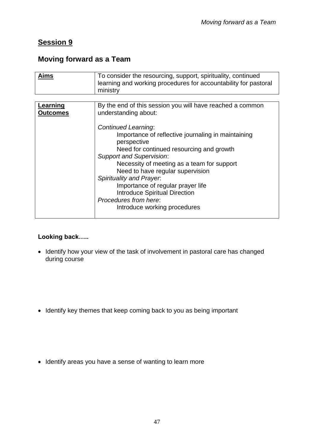# **Session 9**

# **Moving forward as a Team**

| Aims                        | To consider the resourcing, support, spirituality, continued<br>learning and working procedures for accountability for pastoral<br>ministry |
|-----------------------------|---------------------------------------------------------------------------------------------------------------------------------------------|
|                             |                                                                                                                                             |
| Learning<br><b>Outcomes</b> | By the end of this session you will have reached a common<br>understanding about:                                                           |
|                             | <b>Continued Learning:</b>                                                                                                                  |
|                             | Importance of reflective journaling in maintaining<br>perspective                                                                           |
|                             | Need for continued resourcing and growth                                                                                                    |
|                             | <b>Support and Supervision:</b>                                                                                                             |
|                             | Necessity of meeting as a team for support                                                                                                  |
|                             | Need to have regular supervision                                                                                                            |
|                             | <b>Spirituality and Prayer.</b>                                                                                                             |
|                             | Importance of regular prayer life                                                                                                           |
|                             | <b>Introduce Spiritual Direction</b>                                                                                                        |
|                             | Procedures from here:                                                                                                                       |
|                             | Introduce working procedures                                                                                                                |

## **Looking back…..**

- Identify how your view of the task of involvement in pastoral care has changed during course
- Identify key themes that keep coming back to you as being important
- Identify areas you have a sense of wanting to learn more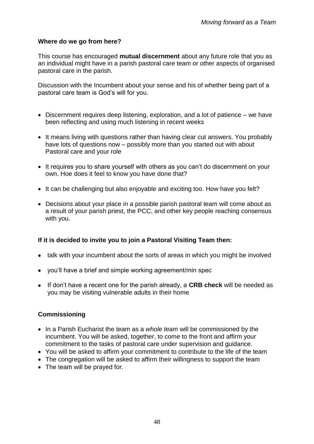#### **Where do we go from here?**

This course has encouraged **mutual discernment** about any future role that you as an individual might have in a parish pastoral care team or other aspects of organised pastoral care in the parish.

Discussion with the Incumbent about your sense and his of whether being part of a pastoral care team is God's will for you.

- Discernment requires deep listening, exploration, and a lot of patience we have been reflecting and using much listening in recent weeks
- It means living with questions rather than having clear cut answers. You probably have lots of questions now – possibly more than you started out with about Pastoral care and your role
- It requires you to share yourself with others as you can't do discernment on your own. Hoe does it feel to know you have done that?
- It can be challenging but also enjoyable and exciting too. How have you felt?
- Decisions about your place in a possible parish pastoral team will come about as a result of your parish priest, the PCC, and other key people reaching consensus with you.

#### **If it is decided to invite you to join a Pastoral Visiting Team then:**

- talk with your incumbent about the sorts of areas in which you might be involved
- you'll have a brief and simple working agreement/min spec
- If don't have a recent one for the parish already, a **CRB check** will be needed as you may be visiting vulnerable adults in their home

#### **Commissioning**

- In a Parish Eucharist the team as a *whole team* will be commissioned by the incumbent. You will be asked, together, to come to the front and affirm your commitment to the tasks of pastoral care under supervision and guidance.
- You will be asked to affirm your commitment to contribute to the life of the team
- The congregation will be asked to affirm their willingness to support the team
- The team will be prayed for.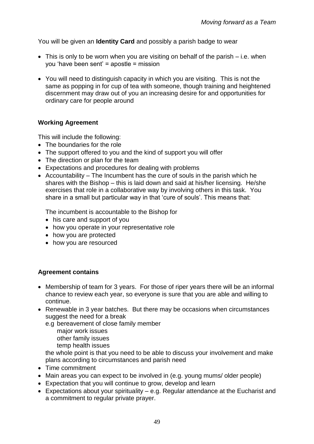You will be given an **Identity Card** and possibly a parish badge to wear

- This is only to be worn when you are visiting on behalf of the parish i.e. when you 'have been sent' = apostle = mission
- You will need to distinguish capacity in which you are visiting. This is not the same as popping in for cup of tea with someone, though training and heightened discernment may draw out of you an increasing desire for and opportunities for ordinary care for people around

#### **Working Agreement**

This will include the following:

- The boundaries for the role
- The support offered to you and the kind of support you will offer
- The direction or plan for the team
- Expectations and procedures for dealing with problems
- Accountability The Incumbent has the cure of souls in the parish which he shares with the Bishop – this is laid down and said at his/her licensing. He/she exercises that role in a collaborative way by involving others in this task. You share in a small but particular way in that 'cure of souls'. This means that:

The incumbent is accountable to the Bishop for

- his care and support of you
- how you operate in your representative role
- how you are protected
- how you are resourced

#### **Agreement contains**

- Membership of team for 3 years. For those of riper years there will be an informal chance to review each year, so everyone is sure that you are able and willing to continue.
- Renewable in 3 year batches. But there may be occasions when circumstances suggest the need for a break
	- e.g bereavement of close family member
		- major work issues other family issues
		- temp health issues

the whole point is that you need to be able to discuss your involvement and make plans according to circumstances and parish need

- Time commitment
- Main areas you can expect to be involved in (e.g. young mums/ older people)
- Expectation that you will continue to grow, develop and learn
- Expectations about your spirituality e.g. Regular attendance at the Eucharist and a commitment to regular private prayer.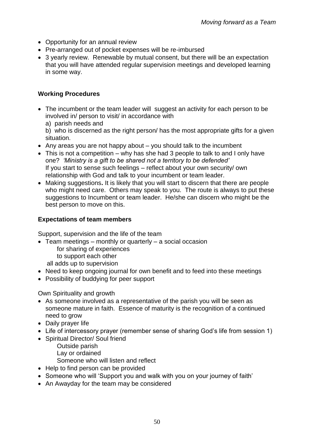- Opportunity for an annual review
- Pre-arranged out of pocket expenses will be re-imbursed
- 3 yearly review. Renewable by mutual consent, but there will be an expectation that you will have attended regular supervision meetings and developed learning in some way.

## **Working Procedures**

- The incumbent or the team leader will suggest an activity for each person to be involved in/ person to visit/ in accordance with
	- a) parish needs and

b) who is discerned as the right person/ has the most appropriate gifts for a given situation.

- Any areas you are not happy about  $-$  you should talk to the incumbent
- This is not a competition why has she had 3 people to talk to and I only have one? *'Ministry is a gift to be shared not a territory to be defended'* If you start to sense such feelings – reflect about your own security/ own relationship with God and talk to your incumbent or team leader.
- Making suggestions**.** It is likely that you will start to discern that there are people who might need care. Others may speak to you. The route is always to put these suggestions to Incumbent or team leader. He/she can discern who might be the best person to move on this.

## **Expectations of team members**

Support, supervision and the life of the team

- Team meetings monthly or quarterly a social occasion
	- for sharing of experiences
	- to support each other
	- all adds up to supervision
- Need to keep ongoing journal for own benefit and to feed into these meetings
- Possibility of buddying for peer support

Own Spirituality and growth

- As someone involved as a representative of the parish you will be seen as someone mature in faith. Essence of maturity is the recognition of a continued need to grow
- Daily prayer life
- Life of intercessory prayer (remember sense of sharing God's life from session 1)
- Spiritual Director/ Soul friend
	- Outside parish Lay or ordained

Someone who will listen and reflect

- Help to find person can be provided
- Someone who will 'Support you and walk with you on your journey of faith'
- An Awayday for the team may be considered